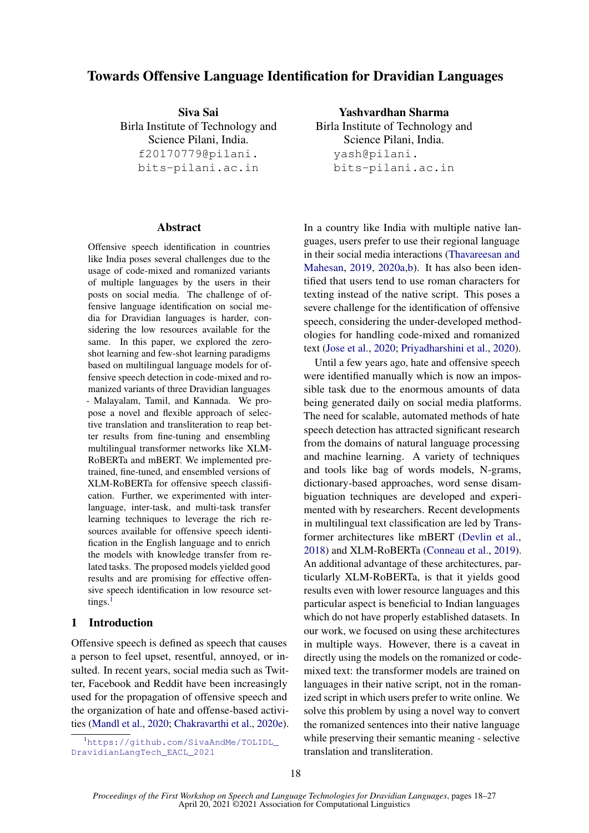# Towards Offensive Language Identification for Dravidian Languages

Siva Sai Birla Institute of Technology and Science Pilani, India. f20170779@pilani. bits-pilani.ac.in

## **Abstract**

Offensive speech identification in countries like India poses several challenges due to the usage of code-mixed and romanized variants of multiple languages by the users in their posts on social media. The challenge of offensive language identification on social media for Dravidian languages is harder, considering the low resources available for the same. In this paper, we explored the zeroshot learning and few-shot learning paradigms based on multilingual language models for offensive speech detection in code-mixed and romanized variants of three Dravidian languages - Malayalam, Tamil, and Kannada. We propose a novel and flexible approach of selective translation and transliteration to reap better results from fine-tuning and ensembling multilingual transformer networks like XLM-RoBERTa and mBERT. We implemented pretrained, fine-tuned, and ensembled versions of XLM-RoBERTa for offensive speech classification. Further, we experimented with interlanguage, inter-task, and multi-task transfer learning techniques to leverage the rich resources available for offensive speech identification in the English language and to enrich the models with knowledge transfer from related tasks. The proposed models yielded good results and are promising for effective offensive speech identification in low resource set-tings.<sup>[1](#page-0-0)</sup>

## 1 Introduction

Offensive speech is defined as speech that causes a person to feel upset, resentful, annoyed, or insulted. In recent years, social media such as Twitter, Facebook and Reddit have been increasingly used for the propagation of offensive speech and the organization of hate and offense-based activities [\(Mandl et al.,](#page-8-0) [2020;](#page-8-0) [Chakravarthi et al.,](#page-8-1) [2020e\)](#page-8-1).

<span id="page-0-0"></span><sup>1</sup>[https://github.com/SivaAndMe/TOLIDL\\_](https://github.com/SivaAndMe/TOLIDL_DravidianLangTech_EACL_2021) [DravidianLangTech\\_EACL\\_2021](https://github.com/SivaAndMe/TOLIDL_DravidianLangTech_EACL_2021)

Yashvardhan Sharma Birla Institute of Technology and Science Pilani, India. yash@pilani. bits-pilani.ac.in

In a country like India with multiple native languages, users prefer to use their regional language in their social media interactions [\(Thavareesan and](#page-9-0) [Mahesan,](#page-9-0) [2019,](#page-9-0) [2020a](#page-9-1)[,b\)](#page-9-2). It has also been identified that users tend to use roman characters for texting instead of the native script. This poses a severe challenge for the identification of offensive speech, considering the under-developed methodologies for handling code-mixed and romanized text [\(Jose et al.,](#page-8-2) [2020;](#page-8-2) [Priyadharshini et al.,](#page-9-3) [2020\)](#page-9-3).

Until a few years ago, hate and offensive speech were identified manually which is now an impossible task due to the enormous amounts of data being generated daily on social media platforms. The need for scalable, automated methods of hate speech detection has attracted significant research from the domains of natural language processing and machine learning. A variety of techniques and tools like bag of words models, N-grams, dictionary-based approaches, word sense disambiguation techniques are developed and experimented with by researchers. Recent developments in multilingual text classification are led by Transformer architectures like mBERT [\(Devlin et al.,](#page-8-3) [2018\)](#page-8-3) and XLM-RoBERTa [\(Conneau et al.,](#page-8-4) [2019\)](#page-8-4). An additional advantage of these architectures, particularly XLM-RoBERTa, is that it yields good results even with lower resource languages and this particular aspect is beneficial to Indian languages which do not have properly established datasets. In our work, we focused on using these architectures in multiple ways. However, there is a caveat in directly using the models on the romanized or codemixed text: the transformer models are trained on languages in their native script, not in the romanized script in which users prefer to write online. We solve this problem by using a novel way to convert the romanized sentences into their native language while preserving their semantic meaning - selective translation and transliteration.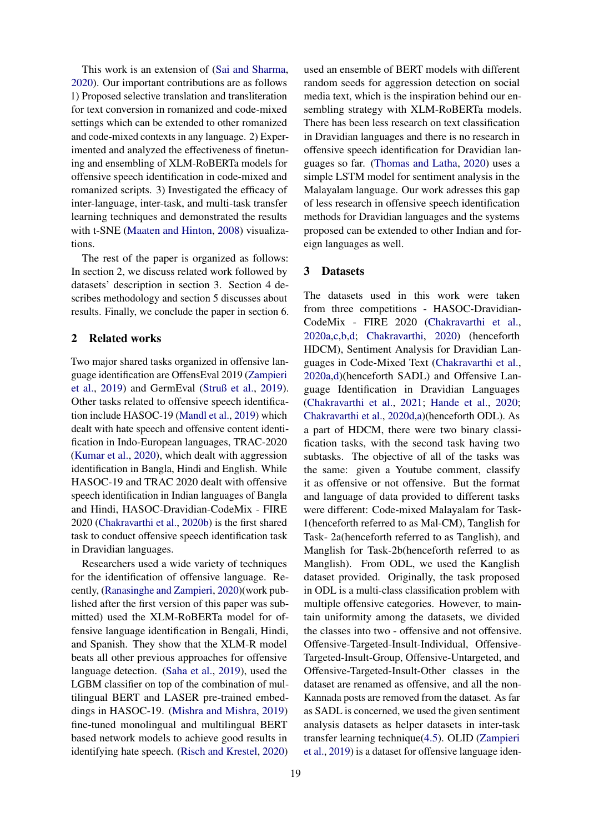This work is an extension of [\(Sai and Sharma,](#page-9-4) [2020\)](#page-9-4). Our important contributions are as follows 1) Proposed selective translation and transliteration for text conversion in romanized and code-mixed settings which can be extended to other romanized and code-mixed contexts in any language. 2) Experimented and analyzed the effectiveness of finetuning and ensembling of XLM-RoBERTa models for offensive speech identification in code-mixed and romanized scripts. 3) Investigated the efficacy of inter-language, inter-task, and multi-task transfer learning techniques and demonstrated the results with t-SNE [\(Maaten and Hinton,](#page-8-5) [2008\)](#page-8-5) visualizations.

The rest of the paper is organized as follows: In section 2, we discuss related work followed by datasets' description in section 3. Section 4 describes methodology and section 5 discusses about results. Finally, we conclude the paper in section 6.

## 2 Related works

Two major shared tasks organized in offensive language identification are OffensEval 2019 [\(Zampieri](#page-9-5) [et al.,](#page-9-5) [2019\)](#page-9-5) and GermEval [\(Struß et al.,](#page-9-6) [2019\)](#page-9-6). Other tasks related to offensive speech identification include HASOC-19 [\(Mandl et al.,](#page-8-6) [2019\)](#page-8-6) which dealt with hate speech and offensive content identification in Indo-European languages, TRAC-2020 [\(Kumar et al.,](#page-8-7) [2020\)](#page-8-7), which dealt with aggression identification in Bangla, Hindi and English. While HASOC-19 and TRAC 2020 dealt with offensive speech identification in Indian languages of Bangla and Hindi, HASOC-Dravidian-CodeMix - FIRE 2020 [\(Chakravarthi et al.,](#page-8-8) [2020b\)](#page-8-8) is the first shared task to conduct offensive speech identification task in Dravidian languages.

Researchers used a wide variety of techniques for the identification of offensive language. Recently, [\(Ranasinghe and Zampieri,](#page-9-7) [2020\)](#page-9-7)(work published after the first version of this paper was submitted) used the XLM-RoBERTa model for offensive language identification in Bengali, Hindi, and Spanish. They show that the XLM-R model beats all other previous approaches for offensive language detection. [\(Saha et al.,](#page-9-8) [2019\)](#page-9-8), used the LGBM classifier on top of the combination of multilingual BERT and LASER pre-trained embeddings in HASOC-19. [\(Mishra and Mishra,](#page-8-9) [2019\)](#page-8-9) fine-tuned monolingual and multilingual BERT based network models to achieve good results in identifying hate speech. [\(Risch and Krestel,](#page-9-9) [2020\)](#page-9-9)

used an ensemble of BERT models with different random seeds for aggression detection on social media text, which is the inspiration behind our ensembling strategy with XLM-RoBERTa models. There has been less research on text classification in Dravidian languages and there is no research in offensive speech identification for Dravidian languages so far. [\(Thomas and Latha,](#page-9-10) [2020\)](#page-9-10) uses a simple LSTM model for sentiment analysis in the Malayalam language. Our work adresses this gap of less research in offensive speech identification methods for Dravidian languages and the systems proposed can be extended to other Indian and foreign languages as well.

## 3 Datasets

The datasets used in this work were taken from three competitions - HASOC-Dravidian-CodeMix - FIRE 2020 [\(Chakravarthi et al.,](#page-8-10) [2020a](#page-8-10)[,c](#page-8-11)[,b,](#page-8-8)[d;](#page-8-12) [Chakravarthi,](#page-8-13) [2020\)](#page-8-13) (henceforth HDCM), Sentiment Analysis for Dravidian Languages in Code-Mixed Text [\(Chakravarthi et al.,](#page-8-10) [2020a](#page-8-10)[,d\)](#page-8-12)(henceforth SADL) and Offensive Language Identification in Dravidian Languages [\(Chakravarthi et al.,](#page-8-14) [2021;](#page-8-14) [Hande et al.,](#page-8-15) [2020;](#page-8-15) [Chakravarthi et al.,](#page-8-12) [2020d,](#page-8-12)[a\)](#page-8-10)(henceforth ODL). As a part of HDCM, there were two binary classification tasks, with the second task having two subtasks. The objective of all of the tasks was the same: given a Youtube comment, classify it as offensive or not offensive. But the format and language of data provided to different tasks were different: Code-mixed Malayalam for Task-1(henceforth referred to as Mal-CM), Tanglish for Task- 2a(henceforth referred to as Tanglish), and Manglish for Task-2b(henceforth referred to as Manglish). From ODL, we used the Kanglish dataset provided. Originally, the task proposed in ODL is a multi-class classification problem with multiple offensive categories. However, to maintain uniformity among the datasets, we divided the classes into two - offensive and not offensive. Offensive-Targeted-Insult-Individual, Offensive-Targeted-Insult-Group, Offensive-Untargeted, and Offensive-Targeted-Insult-Other classes in the dataset are renamed as offensive, and all the non-Kannada posts are removed from the dataset. As far as SADL is concerned, we used the given sentiment analysis datasets as helper datasets in inter-task transfer learning technique[\(4.5\)](#page-4-0). OLID [\(Zampieri](#page-9-5) [et al.,](#page-9-5) [2019\)](#page-9-5) is a dataset for offensive language iden-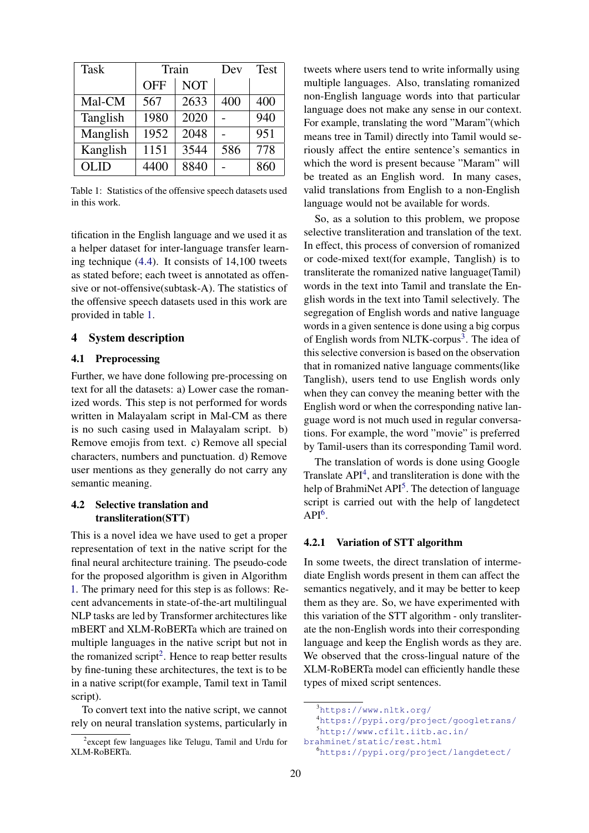<span id="page-2-0"></span>

| <b>Task</b> |            | Train      | Dev | Test |
|-------------|------------|------------|-----|------|
|             | <b>OFF</b> | <b>NOT</b> |     |      |
| Mal-CM      | 567        | 2633       | 400 | 400  |
| Tanglish    | 1980       | 2020       |     | 940  |
| Manglish    | 1952       | 2048       |     | 951  |
| Kanglish    | 1151       | 3544       | 586 | 778  |
| <b>OLID</b> | 4400       | 8840       |     | 860  |

Table 1: Statistics of the offensive speech datasets used in this work.

tification in the English language and we used it as a helper dataset for inter-language transfer learning technique [\(4.4\)](#page-4-1). It consists of 14,100 tweets as stated before; each tweet is annotated as offensive or not-offensive(subtask-A). The statistics of the offensive speech datasets used in this work are provided in table [1.](#page-2-0)

### 4 System description

#### 4.1 Preprocessing

Further, we have done following pre-processing on text for all the datasets: a) Lower case the romanized words. This step is not performed for words written in Malayalam script in Mal-CM as there is no such casing used in Malayalam script. b) Remove emojis from text. c) Remove all special characters, numbers and punctuation. d) Remove user mentions as they generally do not carry any semantic meaning.

## 4.2 Selective translation and transliteration(STT)

This is a novel idea we have used to get a proper representation of text in the native script for the final neural architecture training. The pseudo-code for the proposed algorithm is given in Algorithm [1.](#page-3-0) The primary need for this step is as follows: Recent advancements in state-of-the-art multilingual NLP tasks are led by Transformer architectures like mBERT and XLM-RoBERTa which are trained on multiple languages in the native script but not in the romanized script<sup>[2](#page-2-1)</sup>. Hence to reap better results by fine-tuning these architectures, the text is to be in a native script(for example, Tamil text in Tamil script).

To convert text into the native script, we cannot rely on neural translation systems, particularly in tweets where users tend to write informally using multiple languages. Also, translating romanized non-English language words into that particular language does not make any sense in our context. For example, translating the word "Maram"(which means tree in Tamil) directly into Tamil would seriously affect the entire sentence's semantics in which the word is present because "Maram" will be treated as an English word. In many cases, valid translations from English to a non-English language would not be available for words.

So, as a solution to this problem, we propose selective transliteration and translation of the text. In effect, this process of conversion of romanized or code-mixed text(for example, Tanglish) is to transliterate the romanized native language(Tamil) words in the text into Tamil and translate the English words in the text into Tamil selectively. The segregation of English words and native language words in a given sentence is done using a big corpus of English words from NLTK-corpus<sup>[3](#page-2-2)</sup>. The idea of this selective conversion is based on the observation that in romanized native language comments(like Tanglish), users tend to use English words only when they can convey the meaning better with the English word or when the corresponding native language word is not much used in regular conversations. For example, the word "movie" is preferred by Tamil-users than its corresponding Tamil word.

The translation of words is done using Google Translate  $API<sup>4</sup>$  $API<sup>4</sup>$  $API<sup>4</sup>$ , and transliteration is done with the help of BrahmiNet API<sup>[5](#page-2-4)</sup>. The detection of language script is carried out with the help of langdetect  $API<sup>6</sup>$  $API<sup>6</sup>$  $API<sup>6</sup>$ .

## 4.2.1 Variation of STT algorithm

In some tweets, the direct translation of intermediate English words present in them can affect the semantics negatively, and it may be better to keep them as they are. So, we have experimented with this variation of the STT algorithm - only transliterate the non-English words into their corresponding language and keep the English words as they are. We observed that the cross-lingual nature of the XLM-RoBERTa model can efficiently handle these types of mixed script sentences.

<span id="page-2-1"></span><sup>&</sup>lt;sup>2</sup> except few languages like Telugu, Tamil and Urdu for XLM-RoBERTa.

<span id="page-2-2"></span><sup>3</sup><https://www.nltk.org/>

<span id="page-2-3"></span><sup>4</sup><https://pypi.org/project/googletrans/>

<span id="page-2-4"></span><sup>5</sup>[http://www.cfilt.iitb.ac.in/](http://www.cfilt.iitb.ac.in/brahminet/static/rest.html)

[brahminet/static/rest.html](http://www.cfilt.iitb.ac.in/brahminet/static/rest.html)

<span id="page-2-5"></span><sup>6</sup><https://pypi.org/project/langdetect/>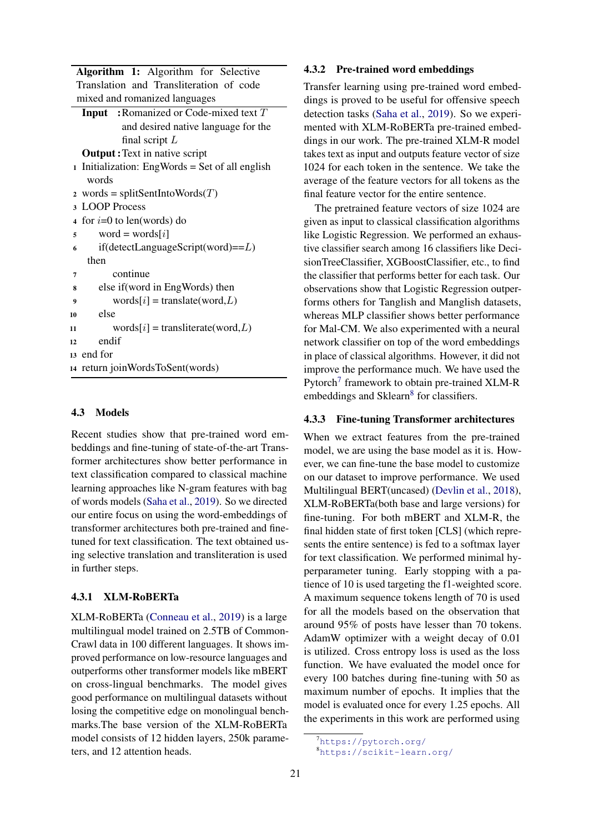|                         | Algorithm 1: Algorithm for Selective            |  |  |  |  |
|-------------------------|-------------------------------------------------|--|--|--|--|
|                         | Translation and Transliteration of code         |  |  |  |  |
|                         | mixed and romanized languages                   |  |  |  |  |
|                         | <b>Input</b> : Romanized or Code-mixed text $T$ |  |  |  |  |
|                         | and desired native language for the             |  |  |  |  |
|                         | final script $L$                                |  |  |  |  |
|                         | <b>Output:</b> Text in native script            |  |  |  |  |
|                         | 1 Initialization: EngWords = Set of all english |  |  |  |  |
|                         | words                                           |  |  |  |  |
| $\overline{2}$          | words = splitSentIntoWords $(T)$                |  |  |  |  |
| 3                       | <b>LOOP</b> Process                             |  |  |  |  |
| $\overline{\mathbf{4}}$ | for $i=0$ to len(words) do                      |  |  |  |  |
| 5                       | word = words[ $i$ ]                             |  |  |  |  |
| 6                       | $if (detect LanguageScript(word) == L)$         |  |  |  |  |
|                         | then                                            |  |  |  |  |
| $\overline{7}$          | continue                                        |  |  |  |  |
| 8                       | else if (word in EngWords) then                 |  |  |  |  |
| 9                       | $words[i] = translate(word, L)$                 |  |  |  |  |
| 10                      | else                                            |  |  |  |  |
| 11                      | $words[i]$ = transliterate(word, <i>L</i> )     |  |  |  |  |
| 12                      | endif                                           |  |  |  |  |
| 13                      | end for                                         |  |  |  |  |
| 14                      | return joinWordsToSent(words)                   |  |  |  |  |
|                         |                                                 |  |  |  |  |

#### <span id="page-3-0"></span>4.3 Models

Recent studies show that pre-trained word embeddings and fine-tuning of state-of-the-art Transformer architectures show better performance in text classification compared to classical machine learning approaches like N-gram features with bag of words models [\(Saha et al.,](#page-9-8) [2019\)](#page-9-8). So we directed our entire focus on using the word-embeddings of transformer architectures both pre-trained and finetuned for text classification. The text obtained using selective translation and transliteration is used in further steps.

## 4.3.1 XLM-RoBERTa

XLM-RoBERTa [\(Conneau et al.,](#page-8-4) [2019\)](#page-8-4) is a large multilingual model trained on 2.5TB of Common-Crawl data in 100 different languages. It shows improved performance on low-resource languages and outperforms other transformer models like mBERT on cross-lingual benchmarks. The model gives good performance on multilingual datasets without losing the competitive edge on monolingual benchmarks.The base version of the XLM-RoBERTa model consists of 12 hidden layers, 250k parameters, and 12 attention heads.

#### 4.3.2 Pre-trained word embeddings

Transfer learning using pre-trained word embeddings is proved to be useful for offensive speech detection tasks [\(Saha et al.,](#page-9-8) [2019\)](#page-9-8). So we experimented with XLM-RoBERTa pre-trained embeddings in our work. The pre-trained XLM-R model takes text as input and outputs feature vector of size 1024 for each token in the sentence. We take the average of the feature vectors for all tokens as the final feature vector for the entire sentence.

The pretrained feature vectors of size 1024 are given as input to classical classification algorithms like Logistic Regression. We performed an exhaustive classifier search among 16 classifiers like DecisionTreeClassifier, XGBoostClassifier, etc., to find the classifier that performs better for each task. Our observations show that Logistic Regression outperforms others for Tanglish and Manglish datasets, whereas MLP classifier shows better performance for Mal-CM. We also experimented with a neural network classifier on top of the word embeddings in place of classical algorithms. However, it did not improve the performance much. We have used the Pytorch<sup>[7](#page-3-1)</sup> framework to obtain pre-trained XLM-R embeddings and Sklearn<sup>[8](#page-3-2)</sup> for classifiers.

#### <span id="page-3-3"></span>4.3.3 Fine-tuning Transformer architectures

When we extract features from the pre-trained model, we are using the base model as it is. However, we can fine-tune the base model to customize on our dataset to improve performance. We used Multilingual BERT(uncased) [\(Devlin et al.,](#page-8-3) [2018\)](#page-8-3), XLM-RoBERTa(both base and large versions) for fine-tuning. For both mBERT and XLM-R, the final hidden state of first token [CLS] (which represents the entire sentence) is fed to a softmax layer for text classification. We performed minimal hyperparameter tuning. Early stopping with a patience of 10 is used targeting the f1-weighted score. A maximum sequence tokens length of 70 is used for all the models based on the observation that around 95% of posts have lesser than 70 tokens. AdamW optimizer with a weight decay of 0.01 is utilized. Cross entropy loss is used as the loss function. We have evaluated the model once for every 100 batches during fine-tuning with 50 as maximum number of epochs. It implies that the model is evaluated once for every 1.25 epochs. All the experiments in this work are performed using

<span id="page-3-1"></span><sup>7</sup><https://pytorch.org/>

<span id="page-3-2"></span><sup>8</sup><https://scikit-learn.org/>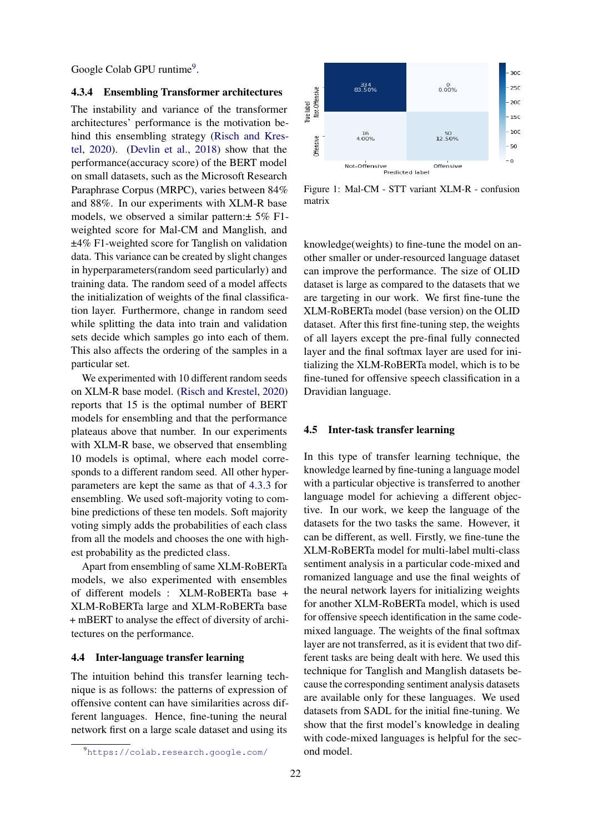Google Colab GPU runtime<sup>[9](#page-4-2)</sup>.

#### 4.3.4 Ensembling Transformer architectures

The instability and variance of the transformer architectures' performance is the motivation behind this ensembling strategy [\(Risch and Kres](#page-9-9)[tel,](#page-9-9) [2020\)](#page-9-9). [\(Devlin et al.,](#page-8-3) [2018\)](#page-8-3) show that the performance(accuracy score) of the BERT model on small datasets, such as the Microsoft Research Paraphrase Corpus (MRPC), varies between 84% and 88%. In our experiments with XLM-R base models, we observed a similar pattern:± 5% F1 weighted score for Mal-CM and Manglish, and ±4% F1-weighted score for Tanglish on validation data. This variance can be created by slight changes in hyperparameters(random seed particularly) and training data. The random seed of a model affects the initialization of weights of the final classification layer. Furthermore, change in random seed while splitting the data into train and validation sets decide which samples go into each of them. This also affects the ordering of the samples in a particular set.

We experimented with 10 different random seeds on XLM-R base model. [\(Risch and Krestel,](#page-9-9) [2020\)](#page-9-9) reports that 15 is the optimal number of BERT models for ensembling and that the performance plateaus above that number. In our experiments with XLM-R base, we observed that ensembling 10 models is optimal, where each model corresponds to a different random seed. All other hyperparameters are kept the same as that of [4.3.3](#page-3-3) for ensembling. We used soft-majority voting to combine predictions of these ten models. Soft majority voting simply adds the probabilities of each class from all the models and chooses the one with highest probability as the predicted class.

Apart from ensembling of same XLM-RoBERTa models, we also experimented with ensembles of different models : XLM-RoBERTa base + XLM-RoBERTa large and XLM-RoBERTa base + mBERT to analyse the effect of diversity of architectures on the performance.

### <span id="page-4-1"></span>4.4 Inter-language transfer learning

The intuition behind this transfer learning technique is as follows: the patterns of expression of offensive content can have similarities across different languages. Hence, fine-tuning the neural network first on a large scale dataset and using its

<span id="page-4-3"></span>

Figure 1: Mal-CM - STT variant XLM-R - confusion matrix

knowledge(weights) to fine-tune the model on another smaller or under-resourced language dataset can improve the performance. The size of OLID dataset is large as compared to the datasets that we are targeting in our work. We first fine-tune the XLM-RoBERTa model (base version) on the OLID dataset. After this first fine-tuning step, the weights of all layers except the pre-final fully connected layer and the final softmax layer are used for initializing the XLM-RoBERTa model, which is to be fine-tuned for offensive speech classification in a Dravidian language.

### <span id="page-4-0"></span>4.5 Inter-task transfer learning

In this type of transfer learning technique, the knowledge learned by fine-tuning a language model with a particular objective is transferred to another language model for achieving a different objective. In our work, we keep the language of the datasets for the two tasks the same. However, it can be different, as well. Firstly, we fine-tune the XLM-RoBERTa model for multi-label multi-class sentiment analysis in a particular code-mixed and romanized language and use the final weights of the neural network layers for initializing weights for another XLM-RoBERTa model, which is used for offensive speech identification in the same codemixed language. The weights of the final softmax layer are not transferred, as it is evident that two different tasks are being dealt with here. We used this technique for Tanglish and Manglish datasets because the corresponding sentiment analysis datasets are available only for these languages. We used datasets from SADL for the initial fine-tuning. We show that the first model's knowledge in dealing with code-mixed languages is helpful for the second model.

<span id="page-4-2"></span><sup>9</sup><https://colab.research.google.com/>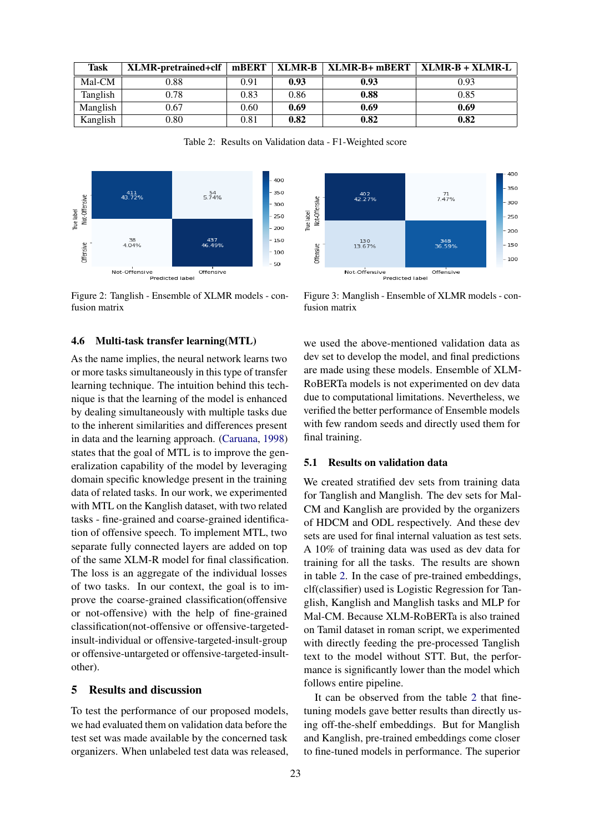<span id="page-5-0"></span>

| Task     | XLMR-pretrained+clf   mBERT   XLMR-B   XLMR-B+ mBERT |            |      |      | $\mathbf{XLMR-B} + \mathbf{XLMR-L}$ |
|----------|------------------------------------------------------|------------|------|------|-------------------------------------|
| Mal-CM   | 0.88                                                 | 0.91       | 0.93 | 0.93 | 0.93                                |
| Tanglish | 0.78                                                 | 0.83       | 0.86 | 0.88 | 0.85                                |
| Manglish | 0.67                                                 | 0.60       | 0.69 | 0.69 | 0.69                                |
| Kanglish | 0.80                                                 | $\rm 0.81$ | 0.82 | 0.82 | 0.82                                |

Table 2: Results on Validation data - F1-Weighted score

<span id="page-5-1"></span>

Figure 2: Tanglish - Ensemble of XLMR models - confusion matrix

#### 4.6 Multi-task transfer learning(MTL)

As the name implies, the neural network learns two or more tasks simultaneously in this type of transfer learning technique. The intuition behind this technique is that the learning of the model is enhanced by dealing simultaneously with multiple tasks due to the inherent similarities and differences present in data and the learning approach. [\(Caruana,](#page-8-16) [1998\)](#page-8-16) states that the goal of MTL is to improve the generalization capability of the model by leveraging domain specific knowledge present in the training data of related tasks. In our work, we experimented with MTL on the Kanglish dataset, with two related tasks - fine-grained and coarse-grained identification of offensive speech. To implement MTL, two separate fully connected layers are added on top of the same XLM-R model for final classification. The loss is an aggregate of the individual losses of two tasks. In our context, the goal is to improve the coarse-grained classification(offensive or not-offensive) with the help of fine-grained classification(not-offensive or offensive-targetedinsult-individual or offensive-targeted-insult-group or offensive-untargeted or offensive-targeted-insultother).

#### 5 Results and discussion

To test the performance of our proposed models, we had evaluated them on validation data before the test set was made available by the concerned task organizers. When unlabeled test data was released,

<span id="page-5-2"></span>

Figure 3: Manglish - Ensemble of XLMR models - confusion matrix

we used the above-mentioned validation data as dev set to develop the model, and final predictions are made using these models. Ensemble of XLM-RoBERTa models is not experimented on dev data due to computational limitations. Nevertheless, we verified the better performance of Ensemble models with few random seeds and directly used them for final training.

### 5.1 Results on validation data

We created stratified dev sets from training data for Tanglish and Manglish. The dev sets for Mal-CM and Kanglish are provided by the organizers of HDCM and ODL respectively. And these dev sets are used for final internal valuation as test sets. A 10% of training data was used as dev data for training for all the tasks. The results are shown in table [2.](#page-5-0) In the case of pre-trained embeddings, clf(classifier) used is Logistic Regression for Tanglish, Kanglish and Manglish tasks and MLP for Mal-CM. Because XLM-RoBERTa is also trained on Tamil dataset in roman script, we experimented with directly feeding the pre-processed Tanglish text to the model without STT. But, the performance is significantly lower than the model which follows entire pipeline.

It can be observed from the table [2](#page-5-0) that finetuning models gave better results than directly using off-the-shelf embeddings. But for Manglish and Kanglish, pre-trained embeddings come closer to fine-tuned models in performance. The superior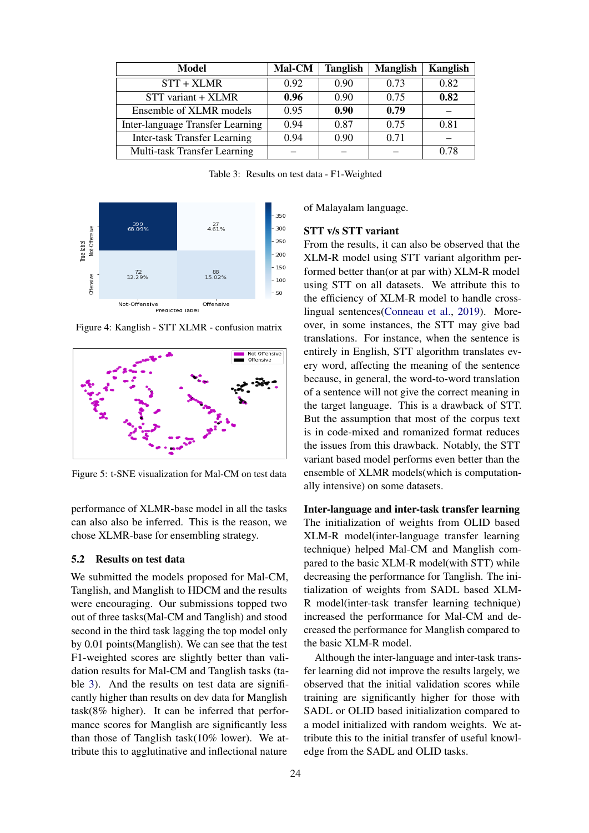<span id="page-6-0"></span>

| Model                               | Mal-CM | <b>Tanglish</b> | <b>Manglish</b> | Kanglish |
|-------------------------------------|--------|-----------------|-----------------|----------|
| STT + XLMR                          | 0.92   | 0.90            | 0.73            | 0.82     |
| STT variant + XLMR                  | 0.96   | 0.90            | 0.75            | 0.82     |
| Ensemble of XLMR models             | 0.95   | 0.90            | 0.79            |          |
| Inter-language Transfer Learning    | 0.94   | 0.87            | 0.75            | 0.81     |
| <b>Inter-task Transfer Learning</b> | 0.94   | 0.90            | 0.71            |          |
| Multi-task Transfer Learning        |        |                 |                 | 0.78     |

Table 3: Results on test data - F1-Weighted

<span id="page-6-2"></span>

Figure 4: Kanglish - STT XLMR - confusion matrix

<span id="page-6-1"></span>

Figure 5: t-SNE visualization for Mal-CM on test data

performance of XLMR-base model in all the tasks can also also be inferred. This is the reason, we chose XLMR-base for ensembling strategy.

## 5.2 Results on test data

We submitted the models proposed for Mal-CM, Tanglish, and Manglish to HDCM and the results were encouraging. Our submissions topped two out of three tasks(Mal-CM and Tanglish) and stood second in the third task lagging the top model only by 0.01 points(Manglish). We can see that the test F1-weighted scores are slightly better than validation results for Mal-CM and Tanglish tasks (table [3\)](#page-6-0). And the results on test data are significantly higher than results on dev data for Manglish task(8% higher). It can be inferred that performance scores for Manglish are significantly less than those of Tanglish task(10% lower). We attribute this to agglutinative and inflectional nature

of Malayalam language.

### STT v/s STT variant

From the results, it can also be observed that the XLM-R model using STT variant algorithm performed better than(or at par with) XLM-R model using STT on all datasets. We attribute this to the efficiency of XLM-R model to handle crosslingual sentences[\(Conneau et al.,](#page-8-4) [2019\)](#page-8-4). Moreover, in some instances, the STT may give bad translations. For instance, when the sentence is entirely in English, STT algorithm translates every word, affecting the meaning of the sentence because, in general, the word-to-word translation of a sentence will not give the correct meaning in the target language. This is a drawback of STT. But the assumption that most of the corpus text is in code-mixed and romanized format reduces the issues from this drawback. Notably, the STT variant based model performs even better than the ensemble of XLMR models(which is computationally intensive) on some datasets.

Inter-language and inter-task transfer learning The initialization of weights from OLID based XLM-R model(inter-language transfer learning technique) helped Mal-CM and Manglish compared to the basic XLM-R model(with STT) while decreasing the performance for Tanglish. The initialization of weights from SADL based XLM-R model(inter-task transfer learning technique) increased the performance for Mal-CM and decreased the performance for Manglish compared to the basic XLM-R model.

Although the inter-language and inter-task transfer learning did not improve the results largely, we observed that the initial validation scores while training are significantly higher for those with SADL or OLID based initialization compared to a model initialized with random weights. We attribute this to the initial transfer of useful knowledge from the SADL and OLID tasks.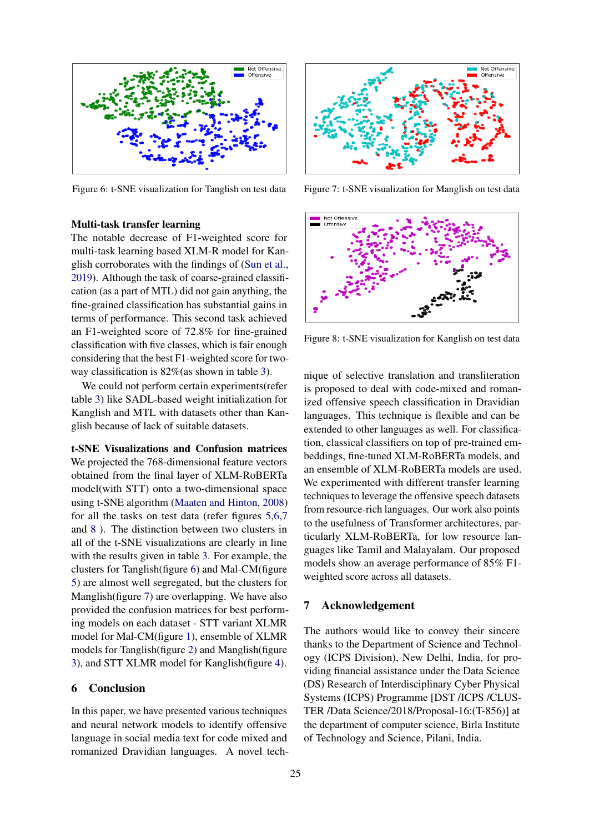<span id="page-7-0"></span>

Figure 6: t-SNE visualization for Tanglish on test data

#### Multi-task transfer learning

The notable decrease of F1-weighted score for multi-task learning based XLM-R model for Kanglish corroborates with the findings of [\(Sun et al.,](#page-9-11) [2019\)](#page-9-11). Although the task of coarse-grained classification (as a part of MTL) did not gain anything, the fine-grained classification has substantial gains in terms of performance. This second task achieved an F1-weighted score of 72.8% for fine-grained classification with five classes, which is fair enough considering that the best F1-weighted score for twoway classification is 82%(as shown in table [3\)](#page-6-0).

We could not perform certain experiments(refer table [3\)](#page-6-0) like SADL-based weight initialization for Kanglish and MTL with datasets other than Kanglish because of lack of suitable datasets.

t-SNE Visualizations and Confusion matrices We projected the 768-dimensional feature vectors obtained from the final layer of XLM-RoBERTa model(with STT) onto a two-dimensional space using t-SNE algorithm [\(Maaten and Hinton,](#page-8-5) [2008\)](#page-8-5) for all the tasks on test data (refer figures [5](#page-6-1)[,6](#page-7-0)[,7](#page-7-1) and [8](#page-7-2) ). The distinction between two clusters in all of the t-SNE visualizations are clearly in line with the results given in table [3.](#page-6-0) For example, the clusters for Tanglish(figure [6\)](#page-7-0) and Mal-CM(figure [5\)](#page-6-1) are almost well segregated, but the clusters for Manglish(figure [7\)](#page-7-1) are overlapping. We have also provided the confusion matrices for best performing models on each dataset - STT variant XLMR model for Mal-CM(figure [1\)](#page-4-3), ensemble of XLMR models for Tanglish(figure [2\)](#page-5-1) and Manglish(figure [3\)](#page-5-2), and STT XLMR model for Kanglish(figure [4\)](#page-6-2).

## 6 Conclusion

In this paper, we have presented various techniques and neural network models to identify offensive language in social media text for code mixed and romanized Dravidian languages. A novel tech-

<span id="page-7-1"></span>

Figure 7: t-SNE visualization for Manglish on test data

<span id="page-7-2"></span>

Figure 8: t-SNE visualization for Kanglish on test data

nique of selective translation and transliteration is proposed to deal with code-mixed and romanized offensive speech classification in Dravidian languages. This technique is flexible and can be extended to other languages as well. For classification, classical classifiers on top of pre-trained embeddings, fine-tuned XLM-RoBERTa models, and an ensemble of XLM-RoBERTa models are used. We experimented with different transfer learning techniques to leverage the offensive speech datasets from resource-rich languages. Our work also points to the usefulness of Transformer architectures, particularly XLM-RoBERTa, for low resource languages like Tamil and Malayalam. Our proposed models show an average performance of 85% F1 weighted score across all datasets.

#### 7 Acknowledgement

The authors would like to convey their sincere thanks to the Department of Science and Technology (ICPS Division), New Delhi, India, for providing financial assistance under the Data Science (DS) Research of Interdisciplinary Cyber Physical Systems (ICPS) Programme [DST /ICPS /CLUS-TER /Data Science/2018/Proposal-16:(T-856)] at the department of computer science, Birla Institute of Technology and Science, Pilani, India.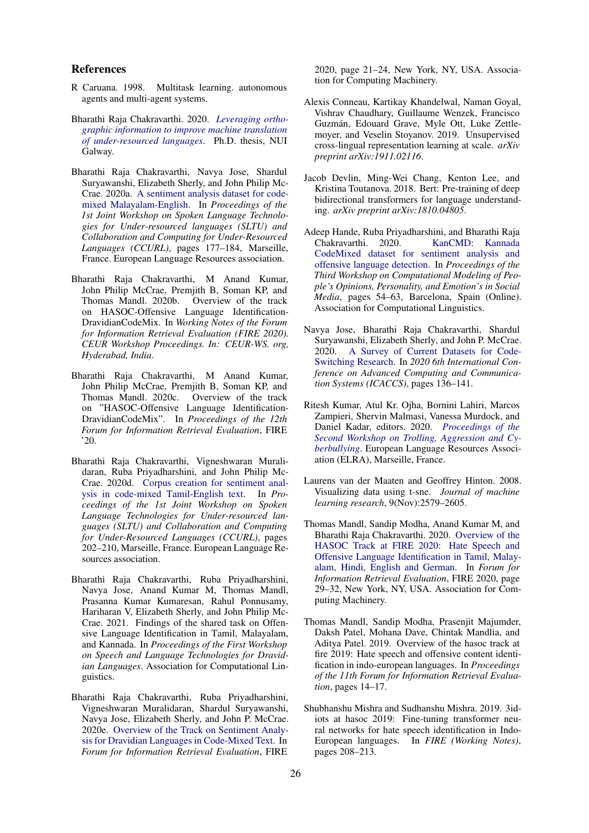#### References

- <span id="page-8-16"></span>R Caruana. 1998. Multitask learning. autonomous agents and multi-agent systems.
- <span id="page-8-13"></span>Bharathi Raja Chakravarthi. 2020. *[Leveraging ortho](http://hdl.handle.net/10379/16100)[graphic information to improve machine translation](http://hdl.handle.net/10379/16100) [of under-resourced languages](http://hdl.handle.net/10379/16100)*. Ph.D. thesis, NUI Galway.
- <span id="page-8-10"></span>Bharathi Raja Chakravarthi, Navya Jose, Shardul Suryawanshi, Elizabeth Sherly, and John Philip Mc-Crae. 2020a. [A sentiment analysis dataset for code](https://www.aclweb.org/anthology/2020.sltu-1.25)[mixed Malayalam-English.](https://www.aclweb.org/anthology/2020.sltu-1.25) In *Proceedings of the 1st Joint Workshop on Spoken Language Technologies for Under-resourced languages (SLTU) and Collaboration and Computing for Under-Resourced Languages (CCURL)*, pages 177–184, Marseille, France. European Language Resources association.
- <span id="page-8-8"></span>Bharathi Raja Chakravarthi, M Anand Kumar, John Philip McCrae, Premjith B, Soman KP, and Thomas Mandl. 2020b. Overview of the track on HASOC-Offensive Language Identification-DravidianCodeMix. In *Working Notes of the Forum for Information Retrieval Evaluation (FIRE 2020). CEUR Workshop Proceedings. In: CEUR-WS. org, Hyderabad, India*.
- <span id="page-8-11"></span>Bharathi Raja Chakravarthi, M Anand Kumar, John Philip McCrae, Premjith B, Soman KP, and Thomas Mandl. 2020c. Overview of the track on "HASOC-Offensive Language Identification-DravidianCodeMix". In *Proceedings of the 12th Forum for Information Retrieval Evaluation*, FIRE '20.
- <span id="page-8-12"></span>Bharathi Raja Chakravarthi, Vigneshwaran Muralidaran, Ruba Priyadharshini, and John Philip Mc-Crae. 2020d. [Corpus creation for sentiment anal](https://www.aclweb.org/anthology/2020.sltu-1.28)[ysis in code-mixed Tamil-English text.](https://www.aclweb.org/anthology/2020.sltu-1.28) In *Proceedings of the 1st Joint Workshop on Spoken Language Technologies for Under-resourced languages (SLTU) and Collaboration and Computing for Under-Resourced Languages (CCURL)*, pages 202–210, Marseille, France. European Language Resources association.
- <span id="page-8-14"></span>Bharathi Raja Chakravarthi, Ruba Priyadharshini, Navya Jose, Anand Kumar M, Thomas Mandl, Prasanna Kumar Kumaresan, Rahul Ponnusamy, Hariharan V, Elizabeth Sherly, and John Philip Mc-Crae. 2021. Findings of the shared task on Offensive Language Identification in Tamil, Malayalam, and Kannada. In *Proceedings of the First Workshop on Speech and Language Technologies for Dravidian Languages*. Association for Computational Linguistics.
- <span id="page-8-1"></span>Bharathi Raja Chakravarthi, Ruba Priyadharshini, Vigneshwaran Muralidaran, Shardul Suryawanshi, Navya Jose, Elizabeth Sherly, and John P. McCrae. 2020e. [Overview of the Track on Sentiment Analy](https://doi.org/10.1145/3441501.3441515)[sis for Dravidian Languages in Code-Mixed Text.](https://doi.org/10.1145/3441501.3441515) In *Forum for Information Retrieval Evaluation*, FIRE

2020, page 21–24, New York, NY, USA. Association for Computing Machinery.

- <span id="page-8-4"></span>Alexis Conneau, Kartikay Khandelwal, Naman Goyal, Vishrav Chaudhary, Guillaume Wenzek, Francisco Guzmán, Edouard Grave, Myle Ott, Luke Zettlemoyer, and Veselin Stoyanov. 2019. Unsupervised cross-lingual representation learning at scale. *arXiv preprint arXiv:1911.02116*.
- <span id="page-8-3"></span>Jacob Devlin, Ming-Wei Chang, Kenton Lee, and Kristina Toutanova. 2018. Bert: Pre-training of deep bidirectional transformers for language understanding. *arXiv preprint arXiv:1810.04805*.
- <span id="page-8-15"></span>Adeep Hande, Ruba Priyadharshini, and Bharathi Raja Chakravarthi. 2020. [KanCMD: Kannada](https://www.aclweb.org/anthology/2020.peoples-1.6) [CodeMixed dataset for sentiment analysis and](https://www.aclweb.org/anthology/2020.peoples-1.6) [offensive language detection.](https://www.aclweb.org/anthology/2020.peoples-1.6) In *Proceedings of the Third Workshop on Computational Modeling of People's Opinions, Personality, and Emotion's in Social Media*, pages 54–63, Barcelona, Spain (Online). Association for Computational Linguistics.
- <span id="page-8-2"></span>Navya Jose, Bharathi Raja Chakravarthi, Shardul Suryawanshi, Elizabeth Sherly, and John P. McCrae. 2020. [A Survey of Current Datasets for Code-](https://doi.org/10.1109/ICACCS48705.2020.9074205)[Switching Research.](https://doi.org/10.1109/ICACCS48705.2020.9074205) In *2020 6th International Conference on Advanced Computing and Communication Systems (ICACCS)*, pages 136–141.
- <span id="page-8-7"></span>Ritesh Kumar, Atul Kr. Ojha, Bornini Lahiri, Marcos Zampieri, Shervin Malmasi, Vanessa Murdock, and Daniel Kadar, editors. 2020. *[Proceedings of the](https://www.aclweb.org/anthology/2020.trac-1.0) [Second Workshop on Trolling, Aggression and Cy](https://www.aclweb.org/anthology/2020.trac-1.0)[berbullying](https://www.aclweb.org/anthology/2020.trac-1.0)*. European Language Resources Association (ELRA), Marseille, France.
- <span id="page-8-5"></span>Laurens van der Maaten and Geoffrey Hinton. 2008. Visualizing data using t-sne. *Journal of machine learning research*, 9(Nov):2579–2605.
- <span id="page-8-0"></span>Thomas Mandl, Sandip Modha, Anand Kumar M, and Bharathi Raja Chakravarthi. 2020. [Overview of the](https://doi.org/10.1145/3441501.3441517) [HASOC Track at FIRE 2020: Hate Speech and](https://doi.org/10.1145/3441501.3441517) [Offensive Language Identification in Tamil, Malay](https://doi.org/10.1145/3441501.3441517)[alam, Hindi, English and German.](https://doi.org/10.1145/3441501.3441517) In *Forum for Information Retrieval Evaluation*, FIRE 2020, page 29–32, New York, NY, USA. Association for Computing Machinery.
- <span id="page-8-6"></span>Thomas Mandl, Sandip Modha, Prasenjit Majumder, Daksh Patel, Mohana Dave, Chintak Mandlia, and Aditya Patel. 2019. Overview of the hasoc track at fire 2019: Hate speech and offensive content identification in indo-european languages. In *Proceedings of the 11th Forum for Information Retrieval Evaluation*, pages 14–17.
- <span id="page-8-9"></span>Shubhanshu Mishra and Sudhanshu Mishra. 2019. 3idiots at hasoc 2019: Fine-tuning transformer neural networks for hate speech identification in Indo-European languages. In *FIRE (Working Notes)*, pages 208–213.